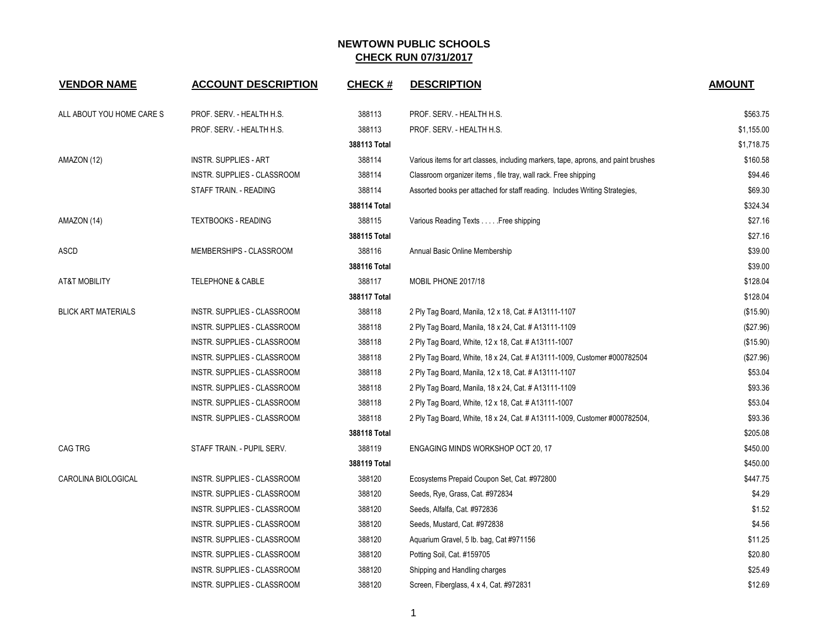| <b>VENDOR NAME</b>         | <b>ACCOUNT DESCRIPTION</b>         | <b>CHECK#</b> | <b>DESCRIPTION</b>                                                                | <b>AMOUNT</b> |
|----------------------------|------------------------------------|---------------|-----------------------------------------------------------------------------------|---------------|
| ALL ABOUT YOU HOME CARE S  | PROF. SERV. - HEALTH H.S.          | 388113        | PROF. SERV. - HEALTH H.S.                                                         | \$563.75      |
|                            | PROF. SERV. - HEALTH H.S.          | 388113        | PROF. SERV. - HEALTH H.S.                                                         | \$1,155.00    |
|                            |                                    | 388113 Total  |                                                                                   | \$1,718.75    |
| AMAZON (12)                | <b>INSTR. SUPPLIES - ART</b>       | 388114        | Various items for art classes, including markers, tape, aprons, and paint brushes | \$160.58      |
|                            | <b>INSTR. SUPPLIES - CLASSROOM</b> | 388114        | Classroom organizer items, file tray, wall rack. Free shipping                    | \$94.46       |
|                            | STAFF TRAIN. - READING             | 388114        | Assorted books per attached for staff reading. Includes Writing Strategies,       | \$69.30       |
|                            |                                    | 388114 Total  |                                                                                   | \$324.34      |
| AMAZON (14)                | <b>TEXTBOOKS - READING</b>         | 388115        | Various Reading Texts Free shipping                                               | \$27.16       |
|                            |                                    | 388115 Total  |                                                                                   | \$27.16       |
| <b>ASCD</b>                | MEMBERSHIPS - CLASSROOM            | 388116        | Annual Basic Online Membership                                                    | \$39.00       |
|                            |                                    | 388116 Total  |                                                                                   | \$39.00       |
| <b>AT&amp;T MOBILITY</b>   | <b>TELEPHONE &amp; CABLE</b>       | 388117        | MOBIL PHONE 2017/18                                                               | \$128.04      |
|                            |                                    | 388117 Total  |                                                                                   | \$128.04      |
| <b>BLICK ART MATERIALS</b> | INSTR. SUPPLIES - CLASSROOM        | 388118        | 2 Ply Tag Board, Manila, 12 x 18, Cat. # A13111-1107                              | (\$15.90)     |
|                            | INSTR. SUPPLIES - CLASSROOM        | 388118        | 2 Ply Tag Board, Manila, 18 x 24, Cat. # A13111-1109                              | (\$27.96)     |
|                            | INSTR. SUPPLIES - CLASSROOM        | 388118        | 2 Ply Tag Board, White, 12 x 18, Cat. # A13111-1007                               | (\$15.90)     |
|                            | INSTR. SUPPLIES - CLASSROOM        | 388118        | 2 Ply Tag Board, White, 18 x 24, Cat. # A13111-1009, Customer #000782504          | (\$27.96)     |
|                            | INSTR. SUPPLIES - CLASSROOM        | 388118        | 2 Ply Tag Board, Manila, 12 x 18, Cat. # A13111-1107                              | \$53.04       |
|                            | INSTR. SUPPLIES - CLASSROOM        | 388118        | 2 Ply Tag Board, Manila, 18 x 24, Cat. # A13111-1109                              | \$93.36       |
|                            | INSTR. SUPPLIES - CLASSROOM        | 388118        | 2 Ply Tag Board, White, 12 x 18, Cat. # A13111-1007                               | \$53.04       |
|                            | INSTR. SUPPLIES - CLASSROOM        | 388118        | 2 Ply Tag Board, White, 18 x 24, Cat. # A13111-1009, Customer #000782504,         | \$93.36       |
|                            |                                    | 388118 Total  |                                                                                   | \$205.08      |
| CAG TRG                    | STAFF TRAIN. - PUPIL SERV.         | 388119        | ENGAGING MINDS WORKSHOP OCT 20, 17                                                | \$450.00      |
|                            |                                    | 388119 Total  |                                                                                   | \$450.00      |
| CAROLINA BIOLOGICAL        | INSTR. SUPPLIES - CLASSROOM        | 388120        | Ecosystems Prepaid Coupon Set, Cat. #972800                                       | \$447.75      |
|                            | INSTR. SUPPLIES - CLASSROOM        | 388120        | Seeds, Rye, Grass, Cat. #972834                                                   | \$4.29        |
|                            | INSTR. SUPPLIES - CLASSROOM        | 388120        | Seeds, Alfalfa, Cat. #972836                                                      | \$1.52        |
|                            | INSTR. SUPPLIES - CLASSROOM        | 388120        | Seeds, Mustard, Cat. #972838                                                      | \$4.56        |
|                            | INSTR. SUPPLIES - CLASSROOM        | 388120        | Aquarium Gravel, 5 lb. bag, Cat #971156                                           | \$11.25       |
|                            | INSTR. SUPPLIES - CLASSROOM        | 388120        | Potting Soil, Cat. #159705                                                        | \$20.80       |
|                            | INSTR. SUPPLIES - CLASSROOM        | 388120        | Shipping and Handling charges                                                     | \$25.49       |
|                            | INSTR. SUPPLIES - CLASSROOM        | 388120        | Screen, Fiberglass, 4 x 4, Cat. #972831                                           | \$12.69       |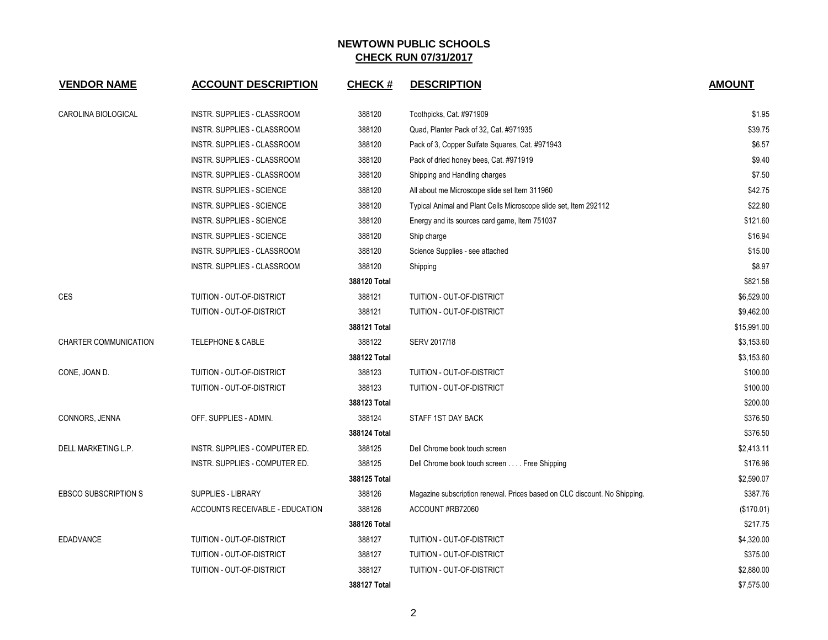| <b>VENDOR NAME</b>          | <b>ACCOUNT DESCRIPTION</b>      | <b>CHECK#</b> | <b>DESCRIPTION</b>                                                        | <b>AMOUNT</b> |
|-----------------------------|---------------------------------|---------------|---------------------------------------------------------------------------|---------------|
| CAROLINA BIOLOGICAL         | INSTR. SUPPLIES - CLASSROOM     | 388120        | Toothpicks, Cat. #971909                                                  | \$1.95        |
|                             | INSTR. SUPPLIES - CLASSROOM     | 388120        | Quad, Planter Pack of 32, Cat. #971935                                    | \$39.75       |
|                             | INSTR. SUPPLIES - CLASSROOM     | 388120        | Pack of 3, Copper Sulfate Squares, Cat. #971943                           | \$6.57        |
|                             | INSTR. SUPPLIES - CLASSROOM     | 388120        | Pack of dried honey bees, Cat. #971919                                    | \$9.40        |
|                             | INSTR. SUPPLIES - CLASSROOM     | 388120        | Shipping and Handling charges                                             | \$7.50        |
|                             | INSTR. SUPPLIES - SCIENCE       | 388120        | All about me Microscope slide set Item 311960                             | \$42.75       |
|                             | INSTR. SUPPLIES - SCIENCE       | 388120        | Typical Animal and Plant Cells Microscope slide set, Item 292112          | \$22.80       |
|                             | INSTR. SUPPLIES - SCIENCE       | 388120        | Energy and its sources card game, Item 751037                             | \$121.60      |
|                             | INSTR. SUPPLIES - SCIENCE       | 388120        | Ship charge                                                               | \$16.94       |
|                             | INSTR. SUPPLIES - CLASSROOM     | 388120        | Science Supplies - see attached                                           | \$15.00       |
|                             | INSTR. SUPPLIES - CLASSROOM     | 388120        | Shipping                                                                  | \$8.97        |
|                             |                                 | 388120 Total  |                                                                           | \$821.58      |
| <b>CES</b>                  | TUITION - OUT-OF-DISTRICT       | 388121        | TUITION - OUT-OF-DISTRICT                                                 | \$6,529.00    |
|                             | TUITION - OUT-OF-DISTRICT       | 388121        | TUITION - OUT-OF-DISTRICT                                                 | \$9,462.00    |
|                             |                                 | 388121 Total  |                                                                           | \$15,991.00   |
| CHARTER COMMUNICATION       | <b>TELEPHONE &amp; CABLE</b>    | 388122        | SERV 2017/18                                                              | \$3,153.60    |
|                             |                                 | 388122 Total  |                                                                           | \$3,153.60    |
| CONE, JOAN D.               | TUITION - OUT-OF-DISTRICT       | 388123        | TUITION - OUT-OF-DISTRICT                                                 | \$100.00      |
|                             | TUITION - OUT-OF-DISTRICT       | 388123        | TUITION - OUT-OF-DISTRICT                                                 | \$100.00      |
|                             |                                 | 388123 Total  |                                                                           | \$200.00      |
| CONNORS, JENNA              | OFF. SUPPLIES - ADMIN.          | 388124        | STAFF 1ST DAY BACK                                                        | \$376.50      |
|                             |                                 | 388124 Total  |                                                                           | \$376.50      |
| DELL MARKETING L.P.         | INSTR. SUPPLIES - COMPUTER ED.  | 388125        | Dell Chrome book touch screen                                             | \$2,413.11    |
|                             | INSTR. SUPPLIES - COMPUTER ED.  | 388125        | Dell Chrome book touch screen Free Shipping                               | \$176.96      |
|                             |                                 | 388125 Total  |                                                                           | \$2,590.07    |
| <b>EBSCO SUBSCRIPTION S</b> | <b>SUPPLIES - LIBRARY</b>       | 388126        | Magazine subscription renewal. Prices based on CLC discount. No Shipping. | \$387.76      |
|                             | ACCOUNTS RECEIVABLE - EDUCATION | 388126        | ACCOUNT#RB72060                                                           | (\$170.01)    |
|                             |                                 | 388126 Total  |                                                                           | \$217.75      |
| <b>EDADVANCE</b>            | TUITION - OUT-OF-DISTRICT       | 388127        | TUITION - OUT-OF-DISTRICT                                                 | \$4,320.00    |
|                             | TUITION - OUT-OF-DISTRICT       | 388127        | TUITION - OUT-OF-DISTRICT                                                 | \$375.00      |
|                             | TUITION - OUT-OF-DISTRICT       | 388127        | TUITION - OUT-OF-DISTRICT                                                 | \$2,880.00    |
|                             |                                 | 388127 Total  |                                                                           | \$7,575.00    |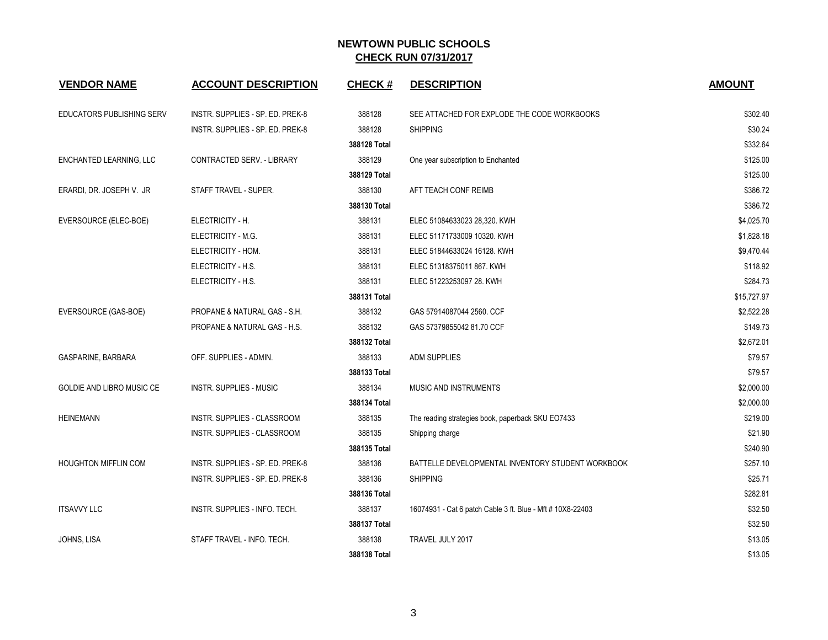| <b>VENDOR NAME</b>          | <b>ACCOUNT DESCRIPTION</b>       | <b>CHECK#</b> | <b>DESCRIPTION</b>                                         | <b>AMOUNT</b> |
|-----------------------------|----------------------------------|---------------|------------------------------------------------------------|---------------|
| EDUCATORS PUBLISHING SERV   | INSTR. SUPPLIES - SP. ED. PREK-8 | 388128        | SEE ATTACHED FOR EXPLODE THE CODE WORKBOOKS                | \$302.40      |
|                             | INSTR. SUPPLIES - SP. ED. PREK-8 | 388128        | <b>SHIPPING</b>                                            | \$30.24       |
|                             |                                  | 388128 Total  |                                                            | \$332.64      |
| ENCHANTED LEARNING, LLC     | CONTRACTED SERV. - LIBRARY       | 388129        | One year subscription to Enchanted                         | \$125.00      |
|                             |                                  | 388129 Total  |                                                            | \$125.00      |
| ERARDI, DR. JOSEPH V. JR    | STAFF TRAVEL - SUPER.            | 388130        | AFT TEACH CONF REIMB                                       | \$386.72      |
|                             |                                  | 388130 Total  |                                                            | \$386.72      |
| EVERSOURCE (ELEC-BOE)       | ELECTRICITY - H.                 | 388131        | ELEC 51084633023 28,320. KWH                               | \$4,025.70    |
|                             | ELECTRICITY - M.G.               | 388131        | ELEC 51171733009 10320. KWH                                | \$1,828.18    |
|                             | ELECTRICITY - HOM.               | 388131        | ELEC 51844633024 16128. KWH                                | \$9,470.44    |
|                             | ELECTRICITY - H.S.               | 388131        | ELEC 51318375011 867. KWH                                  | \$118.92      |
|                             | ELECTRICITY - H.S.               | 388131        | ELEC 51223253097 28. KWH                                   | \$284.73      |
|                             |                                  | 388131 Total  |                                                            | \$15,727.97   |
| EVERSOURCE (GAS-BOE)        | PROPANE & NATURAL GAS - S.H.     | 388132        | GAS 57914087044 2560. CCF                                  | \$2,522.28    |
|                             | PROPANE & NATURAL GAS - H.S.     | 388132        | GAS 57379855042 81.70 CCF                                  | \$149.73      |
|                             |                                  | 388132 Total  |                                                            | \$2,672.01    |
| GASPARINE, BARBARA          | OFF. SUPPLIES - ADMIN.           | 388133        | ADM SUPPLIES                                               | \$79.57       |
|                             |                                  | 388133 Total  |                                                            | \$79.57       |
| GOLDIE AND LIBRO MUSIC CE   | <b>INSTR. SUPPLIES - MUSIC</b>   | 388134        | MUSIC AND INSTRUMENTS                                      | \$2,000.00    |
|                             |                                  | 388134 Total  |                                                            | \$2,000.00    |
| HEINEMANN                   | INSTR. SUPPLIES - CLASSROOM      | 388135        | The reading strategies book, paperback SKU EO7433          | \$219.00      |
|                             | INSTR. SUPPLIES - CLASSROOM      | 388135        | Shipping charge                                            | \$21.90       |
|                             |                                  | 388135 Total  |                                                            | \$240.90      |
| <b>HOUGHTON MIFFLIN COM</b> | INSTR. SUPPLIES - SP. ED. PREK-8 | 388136        | BATTELLE DEVELOPMENTAL INVENTORY STUDENT WORKBOOK          | \$257.10      |
|                             | INSTR. SUPPLIES - SP. ED. PREK-8 | 388136        | <b>SHIPPING</b>                                            | \$25.71       |
|                             |                                  | 388136 Total  |                                                            | \$282.81      |
| <b>ITSAVVY LLC</b>          | INSTR. SUPPLIES - INFO. TECH.    | 388137        | 16074931 - Cat 6 patch Cable 3 ft. Blue - Mft # 10X8-22403 | \$32.50       |
|                             |                                  | 388137 Total  |                                                            | \$32.50       |
| JOHNS, LISA                 | STAFF TRAVEL - INFO. TECH.       | 388138        | TRAVEL JULY 2017                                           | \$13.05       |
|                             |                                  | 388138 Total  |                                                            | \$13.05       |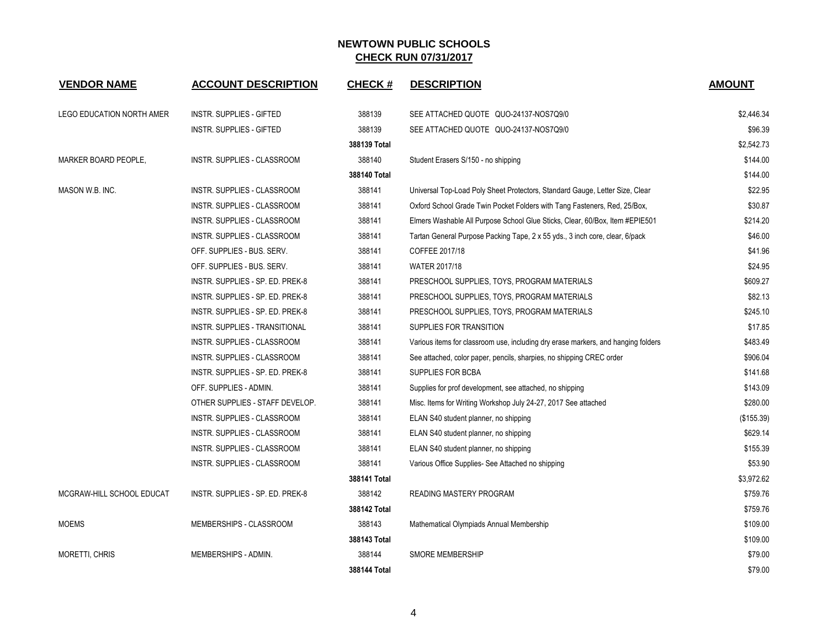| <b>VENDOR NAME</b>        | <b>ACCOUNT DESCRIPTION</b>         | <b>CHECK#</b> | <b>DESCRIPTION</b>                                                                | <b>AMOUNT</b> |
|---------------------------|------------------------------------|---------------|-----------------------------------------------------------------------------------|---------------|
| LEGO EDUCATION NORTH AMER | INSTR. SUPPLIES - GIFTED           | 388139        | SEE ATTACHED QUOTE QUO-24137-NOS7Q9/0                                             | \$2,446.34    |
|                           | INSTR. SUPPLIES - GIFTED           | 388139        | SEE ATTACHED QUOTE QUO-24137-NOS7Q9/0                                             | \$96.39       |
|                           |                                    | 388139 Total  |                                                                                   | \$2,542.73    |
| MARKER BOARD PEOPLE,      | INSTR. SUPPLIES - CLASSROOM        | 388140        | Student Erasers S/150 - no shipping                                               | \$144.00      |
|                           |                                    | 388140 Total  |                                                                                   | \$144.00      |
| MASON W.B. INC.           | INSTR. SUPPLIES - CLASSROOM        | 388141        | Universal Top-Load Poly Sheet Protectors, Standard Gauge, Letter Size, Clear      | \$22.95       |
|                           | <b>INSTR. SUPPLIES - CLASSROOM</b> | 388141        | Oxford School Grade Twin Pocket Folders with Tang Fasteners, Red, 25/Box,         | \$30.87       |
|                           | INSTR. SUPPLIES - CLASSROOM        | 388141        | Elmers Washable All Purpose School Glue Sticks, Clear, 60/Box, Item #EPIE501      | \$214.20      |
|                           | INSTR. SUPPLIES - CLASSROOM        | 388141        | Tartan General Purpose Packing Tape, 2 x 55 yds., 3 inch core, clear, 6/pack      | \$46.00       |
|                           | OFF. SUPPLIES - BUS. SERV.         | 388141        | COFFEE 2017/18                                                                    | \$41.96       |
|                           | OFF. SUPPLIES - BUS. SERV.         | 388141        | WATER 2017/18                                                                     | \$24.95       |
|                           | INSTR. SUPPLIES - SP. ED. PREK-8   | 388141        | PRESCHOOL SUPPLIES, TOYS, PROGRAM MATERIALS                                       | \$609.27      |
|                           | INSTR. SUPPLIES - SP. ED. PREK-8   | 388141        | PRESCHOOL SUPPLIES, TOYS, PROGRAM MATERIALS                                       | \$82.13       |
|                           | INSTR. SUPPLIES - SP. ED. PREK-8   | 388141        | PRESCHOOL SUPPLIES, TOYS, PROGRAM MATERIALS                                       | \$245.10      |
|                           | INSTR. SUPPLIES - TRANSITIONAL     | 388141        | SUPPLIES FOR TRANSITION                                                           | \$17.85       |
|                           | INSTR. SUPPLIES - CLASSROOM        | 388141        | Various items for classroom use, including dry erase markers, and hanging folders | \$483.49      |
|                           | INSTR. SUPPLIES - CLASSROOM        | 388141        | See attached, color paper, pencils, sharpies, no shipping CREC order              | \$906.04      |
|                           | INSTR. SUPPLIES - SP. ED. PREK-8   | 388141        | SUPPLIES FOR BCBA                                                                 | \$141.68      |
|                           | OFF. SUPPLIES - ADMIN.             | 388141        | Supplies for prof development, see attached, no shipping                          | \$143.09      |
|                           | OTHER SUPPLIES - STAFF DEVELOP.    | 388141        | Misc. Items for Writing Workshop July 24-27, 2017 See attached                    | \$280.00      |
|                           | INSTR. SUPPLIES - CLASSROOM        | 388141        | ELAN S40 student planner, no shipping                                             | (\$155.39)    |
|                           | INSTR. SUPPLIES - CLASSROOM        | 388141        | ELAN S40 student planner, no shipping                                             | \$629.14      |
|                           | INSTR. SUPPLIES - CLASSROOM        | 388141        | ELAN S40 student planner, no shipping                                             | \$155.39      |
|                           | INSTR. SUPPLIES - CLASSROOM        | 388141        | Various Office Supplies- See Attached no shipping                                 | \$53.90       |
|                           |                                    | 388141 Total  |                                                                                   | \$3,972.62    |
| MCGRAW-HILL SCHOOL EDUCAT | INSTR. SUPPLIES - SP. ED. PREK-8   | 388142        | <b>READING MASTERY PROGRAM</b>                                                    | \$759.76      |
|                           |                                    | 388142 Total  |                                                                                   | \$759.76      |
| <b>MOEMS</b>              | MEMBERSHIPS - CLASSROOM            | 388143        | Mathematical Olympiads Annual Membership                                          | \$109.00      |
|                           |                                    | 388143 Total  |                                                                                   | \$109.00      |
| <b>MORETTI, CHRIS</b>     | MEMBERSHIPS - ADMIN.               | 388144        | <b>SMORE MEMBERSHIP</b>                                                           | \$79.00       |
|                           |                                    | 388144 Total  |                                                                                   | \$79.00       |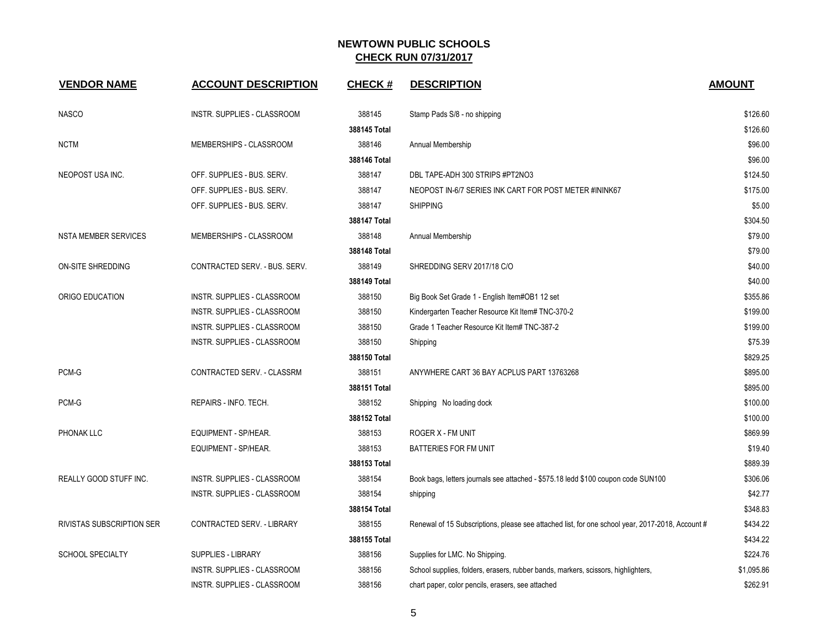| <b>VENDOR NAME</b>          | <b>ACCOUNT DESCRIPTION</b>        | <b>CHECK#</b> | <b>DESCRIPTION</b>                                                                               | <b>AMOUNT</b> |
|-----------------------------|-----------------------------------|---------------|--------------------------------------------------------------------------------------------------|---------------|
| <b>NASCO</b>                | INSTR. SUPPLIES - CLASSROOM       | 388145        | Stamp Pads S/8 - no shipping                                                                     | \$126.60      |
|                             |                                   | 388145 Total  |                                                                                                  | \$126.60      |
| <b>NCTM</b>                 | MEMBERSHIPS - CLASSROOM           | 388146        | Annual Membership                                                                                | \$96.00       |
|                             |                                   | 388146 Total  |                                                                                                  | \$96.00       |
| NEOPOST USA INC.            | OFF. SUPPLIES - BUS. SERV.        | 388147        | DBL TAPE-ADH 300 STRIPS #PT2NO3                                                                  | \$124.50      |
|                             | OFF. SUPPLIES - BUS. SERV.        | 388147        | NEOPOST IN-6/7 SERIES INK CART FOR POST METER #ININK67                                           | \$175.00      |
|                             | OFF. SUPPLIES - BUS. SERV.        | 388147        | <b>SHIPPING</b>                                                                                  | \$5.00        |
|                             |                                   | 388147 Total  |                                                                                                  | \$304.50      |
| <b>NSTA MEMBER SERVICES</b> | MEMBERSHIPS - CLASSROOM           | 388148        | Annual Membership                                                                                | \$79.00       |
|                             |                                   | 388148 Total  |                                                                                                  | \$79.00       |
| ON-SITE SHREDDING           | CONTRACTED SERV. - BUS. SERV.     | 388149        | SHREDDING SERV 2017/18 C/O                                                                       | \$40.00       |
|                             |                                   | 388149 Total  |                                                                                                  | \$40.00       |
| ORIGO EDUCATION             | INSTR. SUPPLIES - CLASSROOM       | 388150        | Big Book Set Grade 1 - English Item#OB1 12 set                                                   | \$355.86      |
|                             | INSTR. SUPPLIES - CLASSROOM       | 388150        | Kindergarten Teacher Resource Kit Item# TNC-370-2                                                | \$199.00      |
|                             | INSTR. SUPPLIES - CLASSROOM       | 388150        | Grade 1 Teacher Resource Kit Item# TNC-387-2                                                     | \$199.00      |
|                             | INSTR. SUPPLIES - CLASSROOM       | 388150        | Shipping                                                                                         | \$75.39       |
|                             |                                   | 388150 Total  |                                                                                                  | \$829.25      |
| PCM-G                       | CONTRACTED SERV. - CLASSRM        | 388151        | ANYWHERE CART 36 BAY ACPLUS PART 13763268                                                        | \$895.00      |
|                             |                                   | 388151 Total  |                                                                                                  | \$895.00      |
| PCM-G                       | REPAIRS - INFO. TECH.             | 388152        | Shipping No loading dock                                                                         | \$100.00      |
|                             |                                   | 388152 Total  |                                                                                                  | \$100.00      |
| PHONAK LLC                  | EQUIPMENT - SP/HEAR.              | 388153        | ROGER X - FM UNIT                                                                                | \$869.99      |
|                             | EQUIPMENT - SP/HEAR.              | 388153        | BATTERIES FOR FM UNIT                                                                            | \$19.40       |
|                             |                                   | 388153 Total  |                                                                                                  | \$889.39      |
| REALLY GOOD STUFF INC.      | INSTR. SUPPLIES - CLASSROOM       | 388154        | Book bags, letters journals see attached - \$575.18 ledd \$100 coupon code SUN100                | \$306.06      |
|                             | INSTR. SUPPLIES - CLASSROOM       | 388154        | shipping                                                                                         | \$42.77       |
|                             |                                   | 388154 Total  |                                                                                                  | \$348.83      |
| RIVISTAS SUBSCRIPTION SER   | <b>CONTRACTED SERV. - LIBRARY</b> | 388155        | Renewal of 15 Subscriptions, please see attached list, for one school year, 2017-2018, Account # | \$434.22      |
|                             |                                   | 388155 Total  |                                                                                                  | \$434.22      |
| SCHOOL SPECIALTY            | <b>SUPPLIES - LIBRARY</b>         | 388156        | Supplies for LMC. No Shipping.                                                                   | \$224.76      |
|                             | INSTR. SUPPLIES - CLASSROOM       | 388156        | School supplies, folders, erasers, rubber bands, markers, scissors, highlighters,                | \$1,095.86    |
|                             | INSTR. SUPPLIES - CLASSROOM       | 388156        | chart paper, color pencils, erasers, see attached                                                | \$262.91      |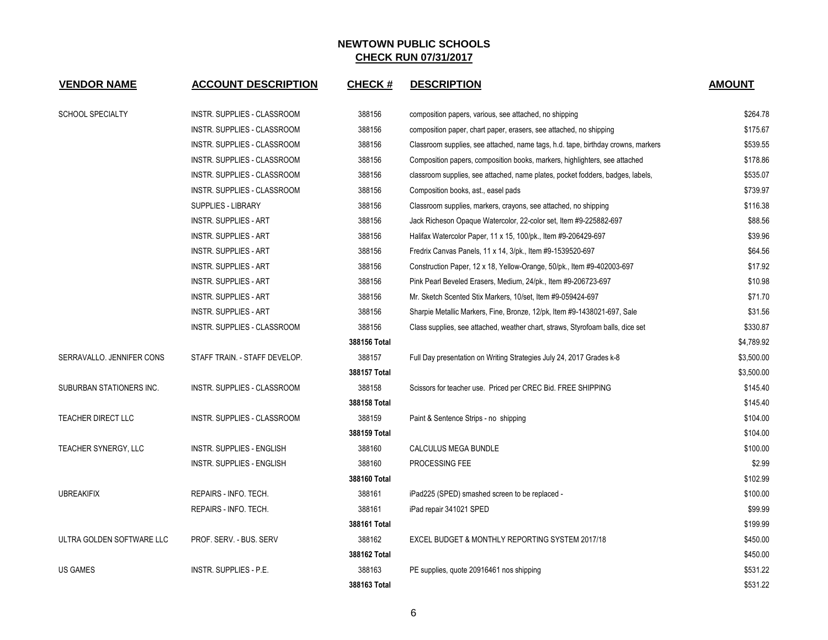| <b>VENDOR NAME</b>        | <b>ACCOUNT DESCRIPTION</b>         | <b>CHECK#</b> | <b>DESCRIPTION</b>                                                               | <b>AMOUNT</b> |
|---------------------------|------------------------------------|---------------|----------------------------------------------------------------------------------|---------------|
| <b>SCHOOL SPECIALTY</b>   | <b>INSTR. SUPPLIES - CLASSROOM</b> | 388156        | composition papers, various, see attached, no shipping                           | \$264.78      |
|                           | INSTR. SUPPLIES - CLASSROOM        | 388156        | composition paper, chart paper, erasers, see attached, no shipping               | \$175.67      |
|                           | INSTR. SUPPLIES - CLASSROOM        | 388156        | Classroom supplies, see attached, name tags, h.d. tape, birthday crowns, markers | \$539.55      |
|                           | INSTR. SUPPLIES - CLASSROOM        | 388156        | Composition papers, composition books, markers, highlighters, see attached       | \$178.86      |
|                           | INSTR. SUPPLIES - CLASSROOM        | 388156        | classroom supplies, see attached, name plates, pocket fodders, badges, labels,   | \$535.07      |
|                           | INSTR. SUPPLIES - CLASSROOM        | 388156        | Composition books, ast., easel pads                                              | \$739.97      |
|                           | <b>SUPPLIES - LIBRARY</b>          | 388156        | Classroom supplies, markers, crayons, see attached, no shipping                  | \$116.38      |
|                           | <b>INSTR. SUPPLIES - ART</b>       | 388156        | Jack Richeson Opaque Watercolor, 22-color set, Item #9-225882-697                | \$88.56       |
|                           | <b>INSTR. SUPPLIES - ART</b>       | 388156        | Halifax Watercolor Paper, 11 x 15, 100/pk., Item #9-206429-697                   | \$39.96       |
|                           | <b>INSTR. SUPPLIES - ART</b>       | 388156        | Fredrix Canvas Panels, 11 x 14, 3/pk., Item #9-1539520-697                       | \$64.56       |
|                           | INSTR. SUPPLIES - ART              | 388156        | Construction Paper, 12 x 18, Yellow-Orange, 50/pk., Item #9-402003-697           | \$17.92       |
|                           | <b>INSTR. SUPPLIES - ART</b>       | 388156        | Pink Pearl Beveled Erasers, Medium, 24/pk., Item #9-206723-697                   | \$10.98       |
|                           | <b>INSTR. SUPPLIES - ART</b>       | 388156        | Mr. Sketch Scented Stix Markers, 10/set, Item #9-059424-697                      | \$71.70       |
|                           | <b>INSTR. SUPPLIES - ART</b>       | 388156        | Sharpie Metallic Markers, Fine, Bronze, 12/pk, Item #9-1438021-697, Sale         | \$31.56       |
|                           | INSTR. SUPPLIES - CLASSROOM        | 388156        | Class supplies, see attached, weather chart, straws, Styrofoam balls, dice set   | \$330.87      |
|                           |                                    | 388156 Total  |                                                                                  | \$4,789.92    |
| SERRAVALLO. JENNIFER CONS | STAFF TRAIN. - STAFF DEVELOP.      | 388157        | Full Day presentation on Writing Strategies July 24, 2017 Grades k-8             | \$3,500.00    |
|                           |                                    | 388157 Total  |                                                                                  | \$3,500.00    |
| SUBURBAN STATIONERS INC.  | INSTR. SUPPLIES - CLASSROOM        | 388158        | Scissors for teacher use. Priced per CREC Bid. FREE SHIPPING                     | \$145.40      |
|                           |                                    | 388158 Total  |                                                                                  | \$145.40      |
| <b>TEACHER DIRECT LLC</b> | <b>INSTR. SUPPLIES - CLASSROOM</b> | 388159        | Paint & Sentence Strips - no shipping                                            | \$104.00      |
|                           |                                    | 388159 Total  |                                                                                  | \$104.00      |
| TEACHER SYNERGY, LLC      | INSTR. SUPPLIES - ENGLISH          | 388160        | CALCULUS MEGA BUNDLE                                                             | \$100.00      |
|                           | <b>INSTR. SUPPLIES - ENGLISH</b>   | 388160        | PROCESSING FEE                                                                   | \$2.99        |
|                           |                                    | 388160 Total  |                                                                                  | \$102.99      |
| <b>UBREAKIFIX</b>         | REPAIRS - INFO. TECH.              | 388161        | iPad225 (SPED) smashed screen to be replaced -                                   | \$100.00      |
|                           | REPAIRS - INFO. TECH.              | 388161        | iPad repair 341021 SPED                                                          | \$99.99       |
|                           |                                    | 388161 Total  |                                                                                  | \$199.99      |
| ULTRA GOLDEN SOFTWARE LLC | PROF. SERV. - BUS. SERV            | 388162        | EXCEL BUDGET & MONTHLY REPORTING SYSTEM 2017/18                                  | \$450.00      |
|                           |                                    | 388162 Total  |                                                                                  | \$450.00      |
| <b>US GAMES</b>           | INSTR. SUPPLIES - P.E.             | 388163        | PE supplies, quote 20916461 nos shipping                                         | \$531.22      |
|                           |                                    | 388163 Total  |                                                                                  | \$531.22      |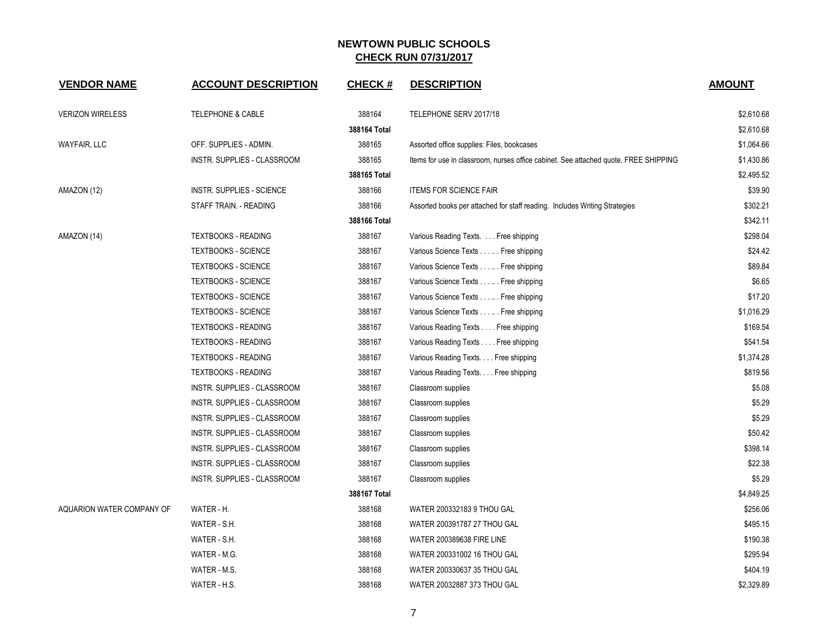| <b>VENDOR NAME</b>        | <b>ACCOUNT DESCRIPTION</b>   | <b>CHECK#</b> | <b>DESCRIPTION</b>                                                                   | <b>AMOUNT</b> |
|---------------------------|------------------------------|---------------|--------------------------------------------------------------------------------------|---------------|
| <b>VERIZON WIRELESS</b>   | <b>TELEPHONE &amp; CABLE</b> | 388164        | TELEPHONE SERV 2017/18                                                               | \$2,610.68    |
|                           |                              | 388164 Total  |                                                                                      | \$2,610.68    |
| <b>WAYFAIR, LLC</b>       | OFF. SUPPLIES - ADMIN.       | 388165        | Assorted office supplies: Files, bookcases                                           | \$1,064.66    |
|                           | INSTR. SUPPLIES - CLASSROOM  | 388165        | Items for use in classroom, nurses office cabinet. See attached quote. FREE SHIPPING | \$1,430.86    |
|                           |                              | 388165 Total  |                                                                                      | \$2,495.52    |
| AMAZON (12)               | INSTR. SUPPLIES - SCIENCE    | 388166        | <b>ITEMS FOR SCIENCE FAIR</b>                                                        | \$39.90       |
|                           | STAFF TRAIN. - READING       | 388166        | Assorted books per attached for staff reading. Includes Writing Strategies           | \$302.21      |
|                           |                              | 388166 Total  |                                                                                      | \$342.11      |
| AMAZON (14)               | <b>TEXTBOOKS - READING</b>   | 388167        | Various Reading Texts. Free shipping                                                 | \$298.04      |
|                           | <b>TEXTBOOKS - SCIENCE</b>   | 388167        | Various Science Texts Free shipping                                                  | \$24.42       |
|                           | <b>TEXTBOOKS - SCIENCE</b>   | 388167        | Various Science Texts Free shipping                                                  | \$89.84       |
|                           | <b>TEXTBOOKS - SCIENCE</b>   | 388167        | Various Science Texts Free shipping                                                  | \$6.65        |
|                           | <b>TEXTBOOKS - SCIENCE</b>   | 388167        | Various Science Texts Free shipping                                                  | \$17.20       |
|                           | <b>TEXTBOOKS - SCIENCE</b>   | 388167        | Various Science Texts Free shipping                                                  | \$1,016.29    |
|                           | <b>TEXTBOOKS - READING</b>   | 388167        | Various Reading Texts Free shipping                                                  | \$169.54      |
|                           | <b>TEXTBOOKS - READING</b>   | 388167        | Various Reading Texts Free shipping                                                  | \$541.54      |
|                           | <b>TEXTBOOKS - READING</b>   | 388167        | Various Reading Texts. Free shipping                                                 | \$1,374.28    |
|                           | <b>TEXTBOOKS - READING</b>   | 388167        | Various Reading Texts. Free shipping                                                 | \$819.56      |
|                           | INSTR. SUPPLIES - CLASSROOM  | 388167        | Classroom supplies                                                                   | \$5.08        |
|                           | INSTR. SUPPLIES - CLASSROOM  | 388167        | Classroom supplies                                                                   | \$5.29        |
|                           | INSTR. SUPPLIES - CLASSROOM  | 388167        | Classroom supplies                                                                   | \$5.29        |
|                           | INSTR. SUPPLIES - CLASSROOM  | 388167        | Classroom supplies                                                                   | \$50.42       |
|                           | INSTR. SUPPLIES - CLASSROOM  | 388167        | Classroom supplies                                                                   | \$398.14      |
|                           | INSTR. SUPPLIES - CLASSROOM  | 388167        | Classroom supplies                                                                   | \$22.38       |
|                           | INSTR. SUPPLIES - CLASSROOM  | 388167        | Classroom supplies                                                                   | \$5.29        |
|                           |                              | 388167 Total  |                                                                                      | \$4,849.25    |
| AQUARION WATER COMPANY OF | WATER - H.                   | 388168        | WATER 200332183 9 THOU GAL                                                           | \$256.06      |
|                           | WATER - S.H.                 | 388168        | WATER 200391787 27 THOU GAL                                                          | \$495.15      |
|                           | WATER - S.H.                 | 388168        | WATER 200389638 FIRE LINE                                                            | \$190.38      |
|                           | WATER - M.G.                 | 388168        | WATER 200331002 16 THOU GAL                                                          | \$295.94      |
|                           | WATER - M.S.                 | 388168        | WATER 200330637 35 THOU GAL                                                          | \$404.19      |
|                           | WATER - H.S.                 | 388168        | WATER 20032887 373 THOU GAL                                                          | \$2,329.89    |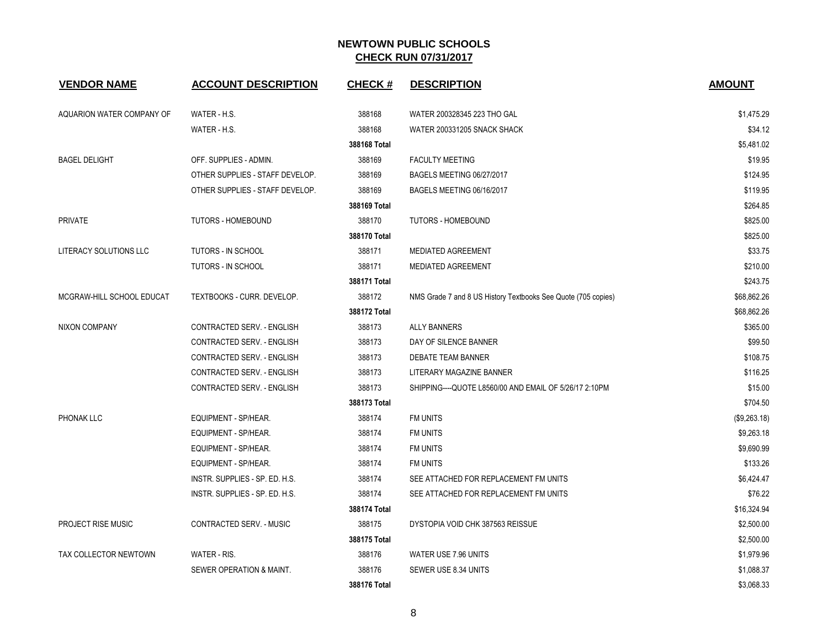| <b>VENDOR NAME</b>        | <b>ACCOUNT DESCRIPTION</b>      | <b>CHECK#</b> | <b>DESCRIPTION</b>                                            | <b>AMOUNT</b> |
|---------------------------|---------------------------------|---------------|---------------------------------------------------------------|---------------|
| AQUARION WATER COMPANY OF | WATER - H.S.                    | 388168        | WATER 200328345 223 THO GAL                                   | \$1,475.29    |
|                           | WATER - H.S.                    | 388168        | WATER 200331205 SNACK SHACK                                   | \$34.12       |
|                           |                                 | 388168 Total  |                                                               | \$5,481.02    |
| <b>BAGEL DELIGHT</b>      | OFF. SUPPLIES - ADMIN.          | 388169        | <b>FACULTY MEETING</b>                                        | \$19.95       |
|                           | OTHER SUPPLIES - STAFF DEVELOP. | 388169        | BAGELS MEETING 06/27/2017                                     | \$124.95      |
|                           | OTHER SUPPLIES - STAFF DEVELOP. | 388169        | BAGELS MEETING 06/16/2017                                     | \$119.95      |
|                           |                                 | 388169 Total  |                                                               | \$264.85      |
| <b>PRIVATE</b>            | <b>TUTORS - HOMEBOUND</b>       | 388170        | TUTORS - HOMEBOUND                                            | \$825.00      |
|                           |                                 | 388170 Total  |                                                               | \$825.00      |
| LITERACY SOLUTIONS LLC    | <b>TUTORS - IN SCHOOL</b>       | 388171        | <b>MEDIATED AGREEMENT</b>                                     | \$33.75       |
|                           | <b>TUTORS - IN SCHOOL</b>       | 388171        | <b>MEDIATED AGREEMENT</b>                                     | \$210.00      |
|                           |                                 | 388171 Total  |                                                               | \$243.75      |
| MCGRAW-HILL SCHOOL EDUCAT | TEXTBOOKS - CURR. DEVELOP.      | 388172        | NMS Grade 7 and 8 US History Textbooks See Quote (705 copies) | \$68,862.26   |
|                           |                                 | 388172 Total  |                                                               | \$68,862.26   |
| <b>NIXON COMPANY</b>      | CONTRACTED SERV. - ENGLISH      | 388173        | <b>ALLY BANNERS</b>                                           | \$365.00      |
|                           | CONTRACTED SERV. - ENGLISH      | 388173        | DAY OF SILENCE BANNER                                         | \$99.50       |
|                           | CONTRACTED SERV. - ENGLISH      | 388173        | DEBATE TEAM BANNER                                            | \$108.75      |
|                           | CONTRACTED SERV. - ENGLISH      | 388173        | LITERARY MAGAZINE BANNER                                      | \$116.25      |
|                           | CONTRACTED SERV. - ENGLISH      | 388173        | SHIPPING---- QUOTE L8560/00 AND EMAIL OF 5/26/17 2:10PM       | \$15.00       |
|                           |                                 | 388173 Total  |                                                               | \$704.50      |
| PHONAK LLC                | EQUIPMENT - SP/HEAR.            | 388174        | FM UNITS                                                      | (\$9,263.18)  |
|                           | <b>EQUIPMENT - SP/HEAR.</b>     | 388174        | <b>FM UNITS</b>                                               | \$9,263.18    |
|                           | EQUIPMENT - SP/HEAR.            | 388174        | <b>FM UNITS</b>                                               | \$9,690.99    |
|                           | <b>EQUIPMENT - SP/HEAR.</b>     | 388174        | <b>FM UNITS</b>                                               | \$133.26      |
|                           | INSTR. SUPPLIES - SP. ED. H.S.  | 388174        | SEE ATTACHED FOR REPLACEMENT FM UNITS                         | \$6,424.47    |
|                           | INSTR. SUPPLIES - SP. ED. H.S.  | 388174        | SEE ATTACHED FOR REPLACEMENT FM UNITS                         | \$76.22       |
|                           |                                 | 388174 Total  |                                                               | \$16,324.94   |
| <b>PROJECT RISE MUSIC</b> | CONTRACTED SERV. - MUSIC        | 388175        | DYSTOPIA VOID CHK 387563 REISSUE                              | \$2,500.00    |
|                           |                                 | 388175 Total  |                                                               | \$2,500.00    |
| TAX COLLECTOR NEWTOWN     | WATER - RIS.                    | 388176        | WATER USE 7.96 UNITS                                          | \$1,979.96    |
|                           | SEWER OPERATION & MAINT.        | 388176        | SEWER USE 8.34 UNITS                                          | \$1,088.37    |
|                           |                                 | 388176 Total  |                                                               | \$3,068.33    |